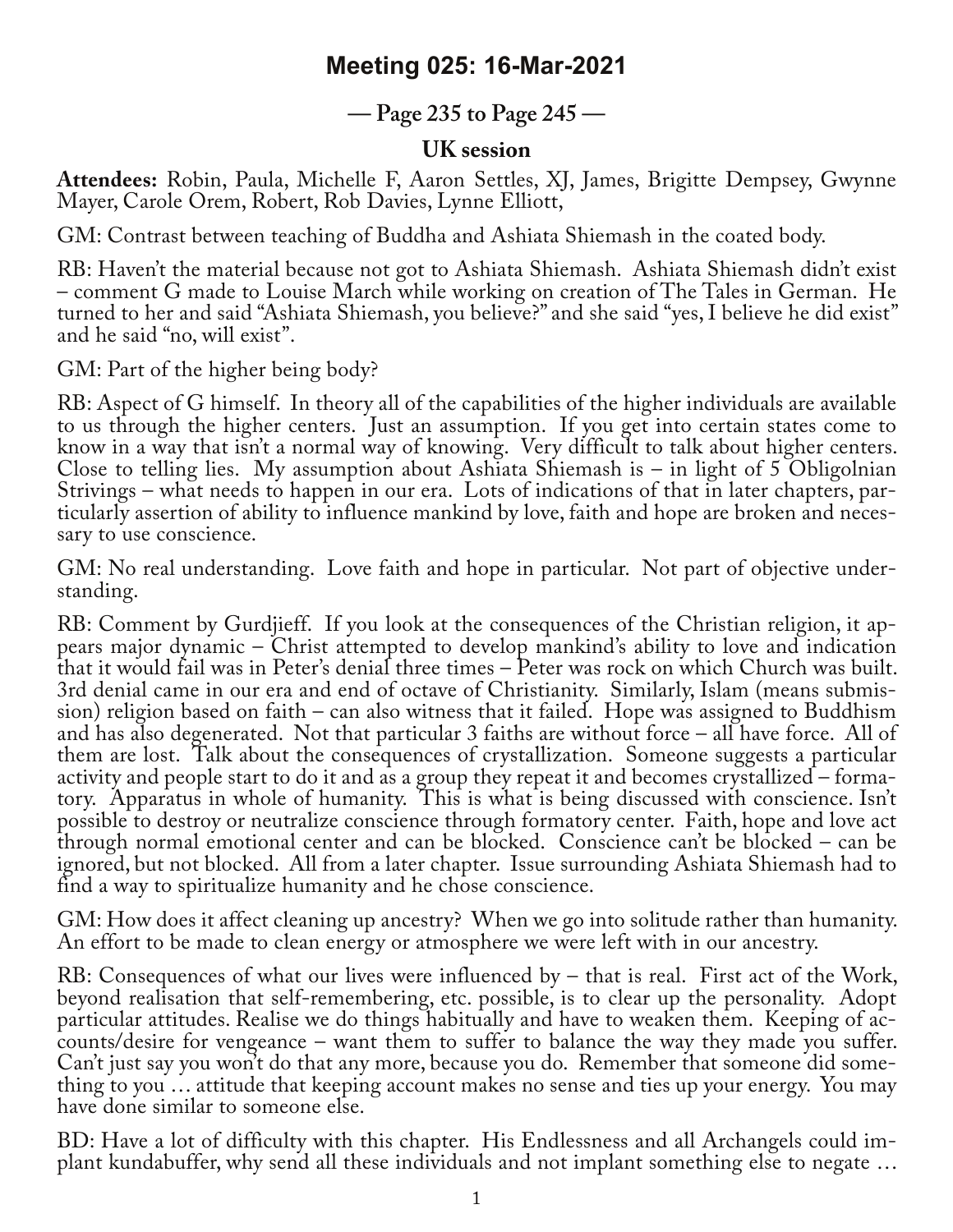## **Meeting 025: 16-Mar-2021**

**— Page 235 to Page 245 —**

## **UK session**

**Attendees:** Robin, Paula, Michelle F, Aaron Settles, XJ, James, Brigitte Dempsey, Gwynne Mayer, Carole Orem, Robert, Rob Davies, Lynne Elliott,

GM: Contrast between teaching of Buddha and Ashiata Shiemash in the coated body.

RB: Haven't the material because not got to Ashiata Shiemash. Ashiata Shiemash didn't exist – comment G made to Louise March while working on creation of The Tales in German. He turned to her and said "Ashiata Shiemash, you believe?" and she said "yes, I believe he did exist" and he said "no, will exist".

GM: Part of the higher being body?

RB: Aspect of G himself. In theory all of the capabilities of the higher individuals are available to us through the higher centers. Just an assumption. If you get into certain states come to know in a way that isn't a normal way of knowing. Very difficult to talk about higher centers. Close to telling lies. My assumption about Ashiata Shiemash is – in light of 5 Obligolnian Strivings – what needs to happen in our era. Lots of indications of that in later chapters, par‐ ticularly assertion of ability to influence mankind by love, faith and hope are broken and neces‐ sary to use conscience.

GM: No real understanding. Love faith and hope in particular. Not part of objective under-<br>standing.

RB: Comment by Gurdjieff. If you look at the consequences of the Christian religion, it appears major dynamic – Christ attempted to develop mankind's ability to love and indication that it would fail was in Peter's denial three times – Peter was rock on which Church was built. sion) religion based on faith – can also witness that it failed. Hope was assigned to Buddhism and has also degenerated. Not that particular 3 faiths are without force – all have force. All of them are lost. Talk about the consequences of crystallization. Someone suggests a particular activity and people start to do it and as a group they repeat it and becomes crystallized – formatory. Apparatus in whole of humanity. This is what is being discussed with conscience. Isn't possible to destroy or neutralize conscience through formatory center. Faith, hope and love act through normal emotional center and can be blocked. Conscience can't be blocked – can be ignored, but not blocked. All from a later chapter. Issue surrounding Ashiata Shiemash had to find a way to spiritualize humanity and he chose conscience.

GM: How does it affect cleaning up ancestry? When we go into solitude rather than humanity. An effort to be made to clean energy or atmosphere we were left with in our ancestry.

RB: Consequences of what our lives were influenced by – that is real. First act of the Work, beyond realisation that self-remembering, etc. possible, is to clear up the personality. Adopt particular attitudes. Realise we do things habitually and have to weaken them. Keeping of ac‐ counts/desire for vengeance – want them to suffer to balance the way they made you suffer. Can't just say you won't do that any more, because you do. Remember that someone did some‐ thing to you … attitude that keeping account makes no sense and ties up your energy. You may have done similar to someone else.

BD: Have a lot of difficulty with this chapter. His Endlessness and all Archangels could im-<br>plant kundabuffer, why send all these individuals and not implant something else to negate …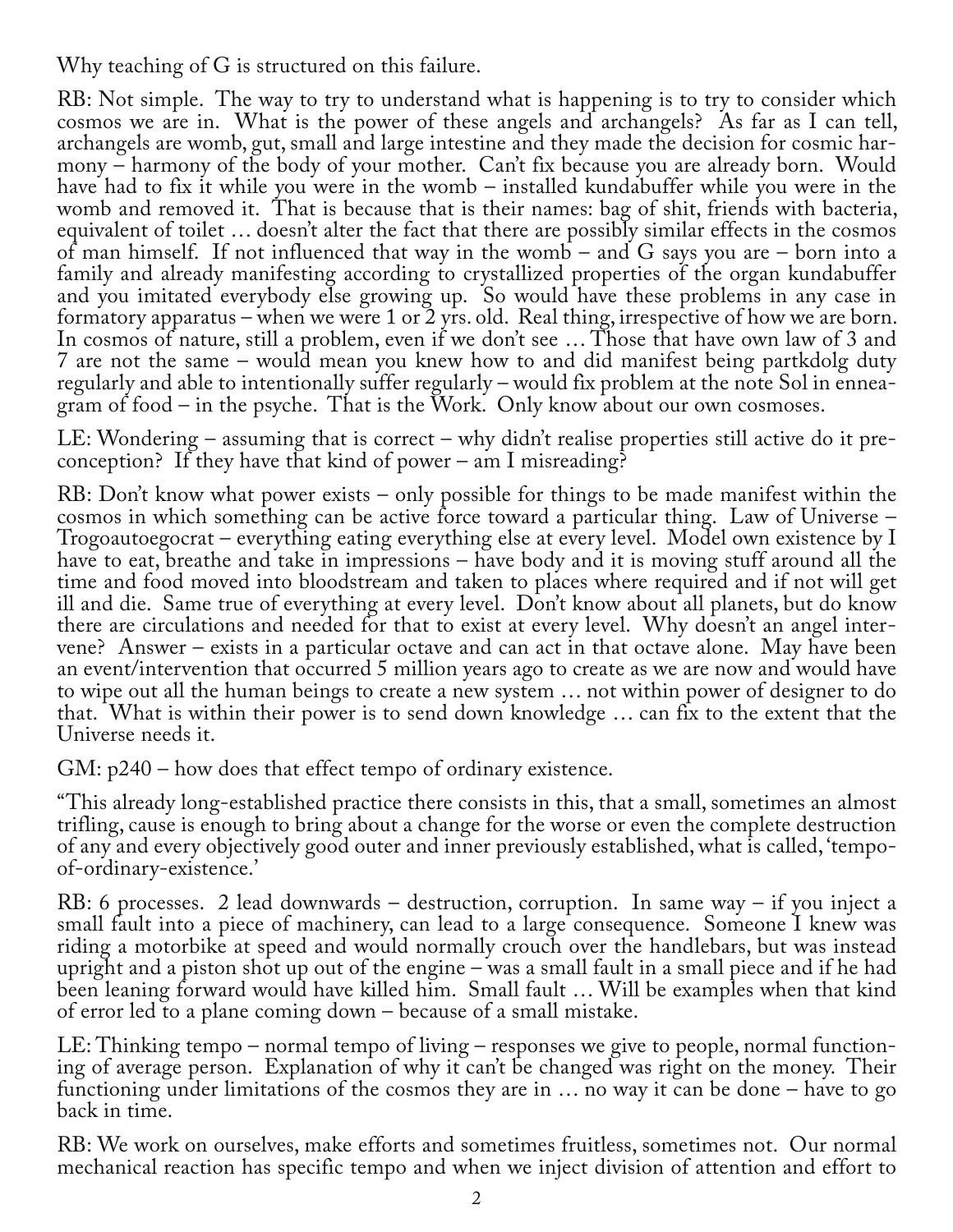Why teaching of G is structured on this failure.

RB: Not simple. The way to try to understand what is happening is to try to consider which cosmos we are in. What is the power of these angels and archangels? As far as I can tell, archangels are womb, gut, small and large intestine and they made the decision for cosmic har‐ mony – harmony of the body of your mother. Can't fix because you are already born. Would have had to fix it while you were in the womb – installed kundabuffer while you were in the womb and removed it. That is because that is their names: bag of shit, friends with bacteria, equivalent of toilet … doesn't alter the fact that there are possibly similar effects in the cosmos of man himself. If not influenced that way in the womb – and G says you are – born into a family and already manifesting according to crystallized properties of the organ kundabuffer and you imitated everybody else growing up. So would have these problems in any case in formatory apparatus – when we were 1 or 2 yrs. old. Real thing, irrespective of how we are born. In cosmos of nature, still a problem, even if we don't see … Those that have own law of 3 and 7 are not the same – would mean you knew how to and did manifest being partkdolg duty regularly and able to intentionally suffer regularly – would fix problem at the note Sol in enneagram of food – in the psyche. That is the Work. Only know about our own cosmoses.

LE: Wondering – assuming that is correct – why didn't realise properties still active do it preconception? If they have that kind of power – am I misreading?

RB: Don't know what power exists – only possible for things to be made manifest within the cosmos in which something can be active force toward a particular thing. Law of Universe – Trogoautoegocrat – everything eating everything else at every level. Model own existence by I have to eat, breathe and take in impressions – have body and it is moving stuff around all the time and food moved into bloodstream and taken to places where required and if not will get ill and die. Same true of everything at every level. Don't know about all planets, but do know there are circulations and needed for that to exist at every level. Why doesn't an angel inter‐ vene? Answer – exists in a particular octave and can act in that octave alone. May have been an event/intervention that occurred 5 million years ago to create as we are now and would have to wipe out all the human beings to create a new system … not within power of designer to do that. What is within their power is to send down knowledge … can fix to the extent that the Universe needs it.

GM: p240 – how does that effect tempo of ordinary existence.

"This already long-established practice there consists in this, that a small, sometimes an almost trifling, cause is enough to bring about a change for the worse or even the complete destruction of any and every objectively good outer and inner previously established, what is called, 'tempoof-ordinary-existence.'

RB: 6 processes. 2 lead downwards – destruction, corruption. In same way – if you inject a small fault into a piece of machinery, can lead to a large consequence. Someone I knew was riding a motorbike at speed and would normally crouch over the handlebars, but was instead upright and a piston shot up out of the engine – was a small fault in a small piece and if he had been leaning forward would have killed him. Small fault … Will be examples when that kind of error led to a plane coming down – because of a small mistake.

LE: Thinking tempo – normal tempo of living – responses we give to people, normal function‐ ing of average person. Explanation of why it can't be changed was right on the money. Their functioning under limitations of the cosmos they are in … no way it can be done – have to go back in time.

RB: We work on ourselves, make efforts and sometimes fruitless, sometimes not. Our normal mechanical reaction has specific tempo and when we inject division of attention and effort to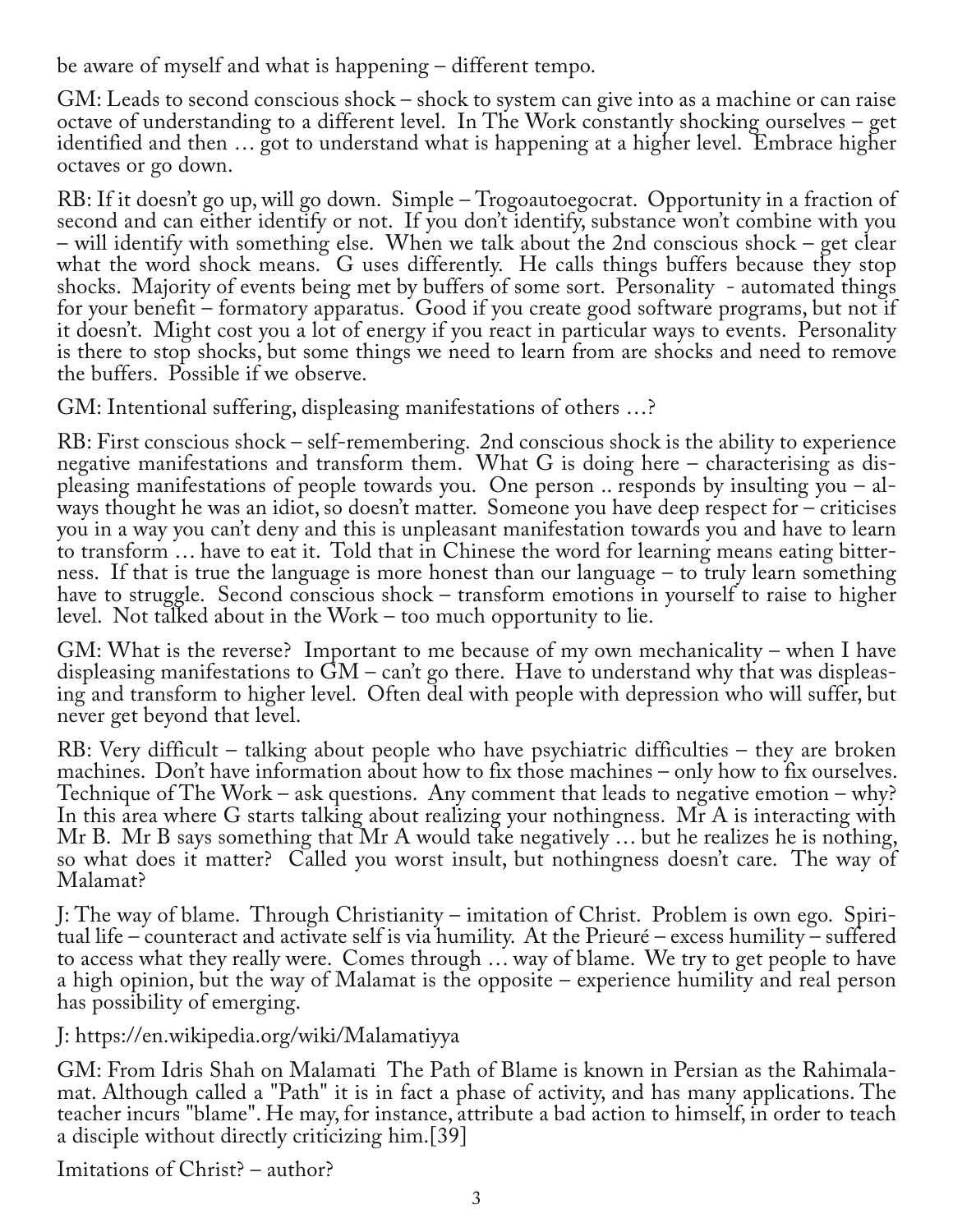be aware of myself and what is happening – different tempo.

GM: Leads to second conscious shock – shock to system can give into as a machine or can raise octave of understanding to a different level. In The Work constantly shocking ourselves – get identified and then … got to understand what is happening at a higher level. Embrace higher octaves or go down.

RB: If it doesn't go up, will go down. Simple – Trogoautoegocrat. Opportunity in a fraction of second and can either identify or not. If you don't identify, substance won't combine with you – will identify with something else. When we talk about the 2nd conscious shock – get clear what the word shock means. G uses differently. He calls things buffers because they stop shocks. Majority of events being met by buffers of some sort. Personality - automated things for your benefit – formatory apparatus. Good if you create good software programs, but not if it doesn't. Might cost you a lot of energy if you react in particular ways to events. Personality is there to stop shocks, but some things we need to learn from are shocks and need to remove the buffers. Possible if we observe.

GM: Intentional suffering, displeasing manifestations of others …?

RB: First conscious shock – self-remembering. 2nd conscious shock is the ability to experience negative manifestations and transform them. What G is doing here – characterising as displeasing manifestations of people towards you. One person .. responds by insulting you – al‐ ways thought he was an idiot, so doesn't matter. Someone you have deep respect for – criticises you in a way you can't deny and this is unpleasant manifestation towards you and have to learn to transform … have to eat it. Told that in Chinese the word for learning means eating bitter‐ ness. If that is true the language is more honest than our language – to truly learn something have to struggle. Second conscious shock – transform emotions in yourself to raise to higher level. Not talked about in the Work – too much opportunity to lie.

GM: What is the reverse? Important to me because of my own mechanicality – when I have displeasing manifestations to GM – can't go there. Have to understand why that was displeas‐ ing and transform to higher level. Often deal with people with depression who will suffer, but never get beyond that level.

RB: Very difficult – talking about people who have psychiatric difficulties – they are broken machines. Don't have information about how to fix those machines – only how to fix ourselves. Technique of The Work – ask questions. Any comment that leads to negative emotion – why? In this area where G starts talking about realizing your nothingness.  $\overline{Mr}A$  is interacting with Mr B. Mr B says something that Mr A would take negatively ... but he realizes he is nothing, so what does it matter? Called you worst insult, but nothingness doesn't care. The way of Malamat?

J: The way of blame. Through Christianity – imitation of Christ. Problem is own ego. Spiri‐ tual life – counteract and activate self is via humility. At the Prieuré – excess humility – suffered to access what they really were. Comes through … way of blame. We try to get people to have a high opinion, but the way of Malamat is the opposite – experience humility and real person has possibility of emerging.

J: https://en.wikipedia.org/wiki/Malamatiyya

GM: From Idris Shah on Malamati The Path of Blame is known in Persian as the Rahimala‐ mat. Although called a "Path" it is in fact a phase of activity, and has many applications. The teacher incurs "blame". He may, for instance, attribute a bad action to himself, in order to teach a disciple without directly criticizing him.[39]

Imitations of Christ? – author?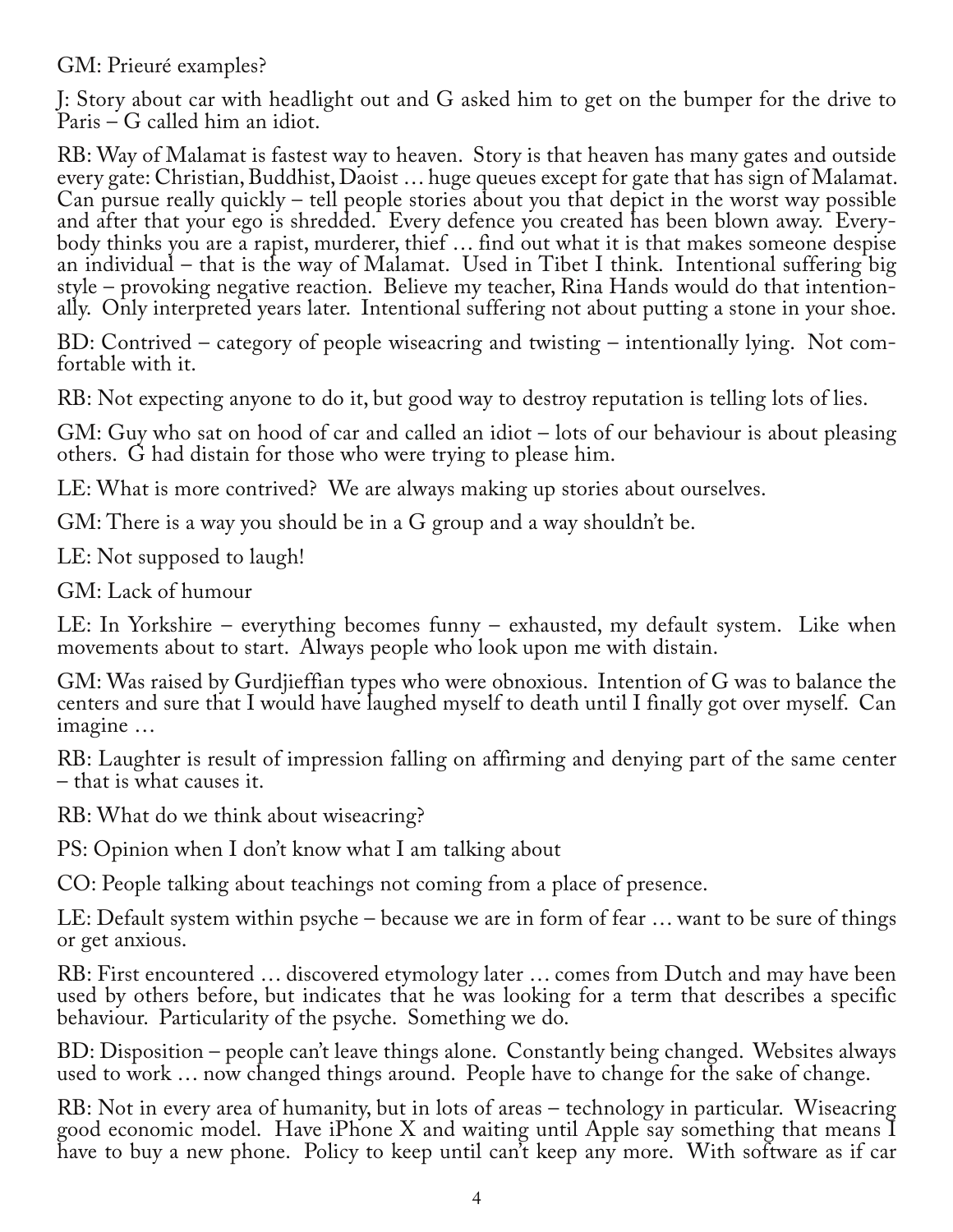## GM: Prieuré examples?

J: Story about car with headlight out and G asked him to get on the bumper for the drive to Paris – G called him an idiot.

RB: Way of Malamat is fastest way to heaven. Story is that heaven has many gates and outside every gate: Christian, Buddhist, Daoist … huge queues except for gate that has sign of Malamat. Can pursue really quickly – tell people stories about you that depict in the worst way possible and after that your ego is shredded. Every defence you created has been blown away. Every‐ body thinks you are a rapist, murderer, thief … find out what it is that makes someone despise an individual – that is the way of Malamat. Used in Tibet I think. Intentional suffering big style – provoking negative reaction. Believe my teacher, Rina Hands would do that intention‐ ally. Only interpreted years later. Intentional suffering not about putting a stone in your shoe.

BD: Contrived – category of people wiseacring and twisting – intentionally lying. Not com-<br>fortable with it.

RB: Not expecting anyone to do it, but good way to destroy reputation is telling lots of lies.

GM: Guy who sat on hood of car and called an idiot – lots of our behaviour is about pleasing others. G had distain for those who were trying to please him.

LE: What is more contrived? We are always making up stories about ourselves.

GM: There is a way you should be in a G group and a way shouldn't be.

LE: Not supposed to laugh!

GM: Lack of humour

LE: In Yorkshire – everything becomes funny – exhausted, my default system. Like when movements about to start. Always people who look upon me with distain.

GM: Was raised by Gurdjieffian types who were obnoxious. Intention of G was to balance the centers and sure that I would have laughed myself to death until I finally got over myself. Can imagine …

RB: Laughter is result of impression falling on affirming and denying part of the same center – that is what causes it.

RB: What do we think about wiseacring?

PS: Opinion when I don't know what I am talking about

CO: People talking about teachings not coming from a place of presence.

LE: Default system within psyche – because we are in form of fear … want to be sure of things or get anxious.

RB: First encountered … discovered etymology later … comes from Dutch and may have been used by others before, but indicates that he was looking for a term that describes a specific behaviour. Particularity of the psyche. Something we do.

BD: Disposition – people can't leave things alone. Constantly being changed. Websites always used to work … now changed things around. People have to change for the sake of change.

RB: Not in every area of humanity, but in lots of areas – technology in particular. Wiseacring good economic model. Have iPhone X and waiting until Apple say something that means I have to buy a new phone. Policy to keep until can't keep any more. With software as if car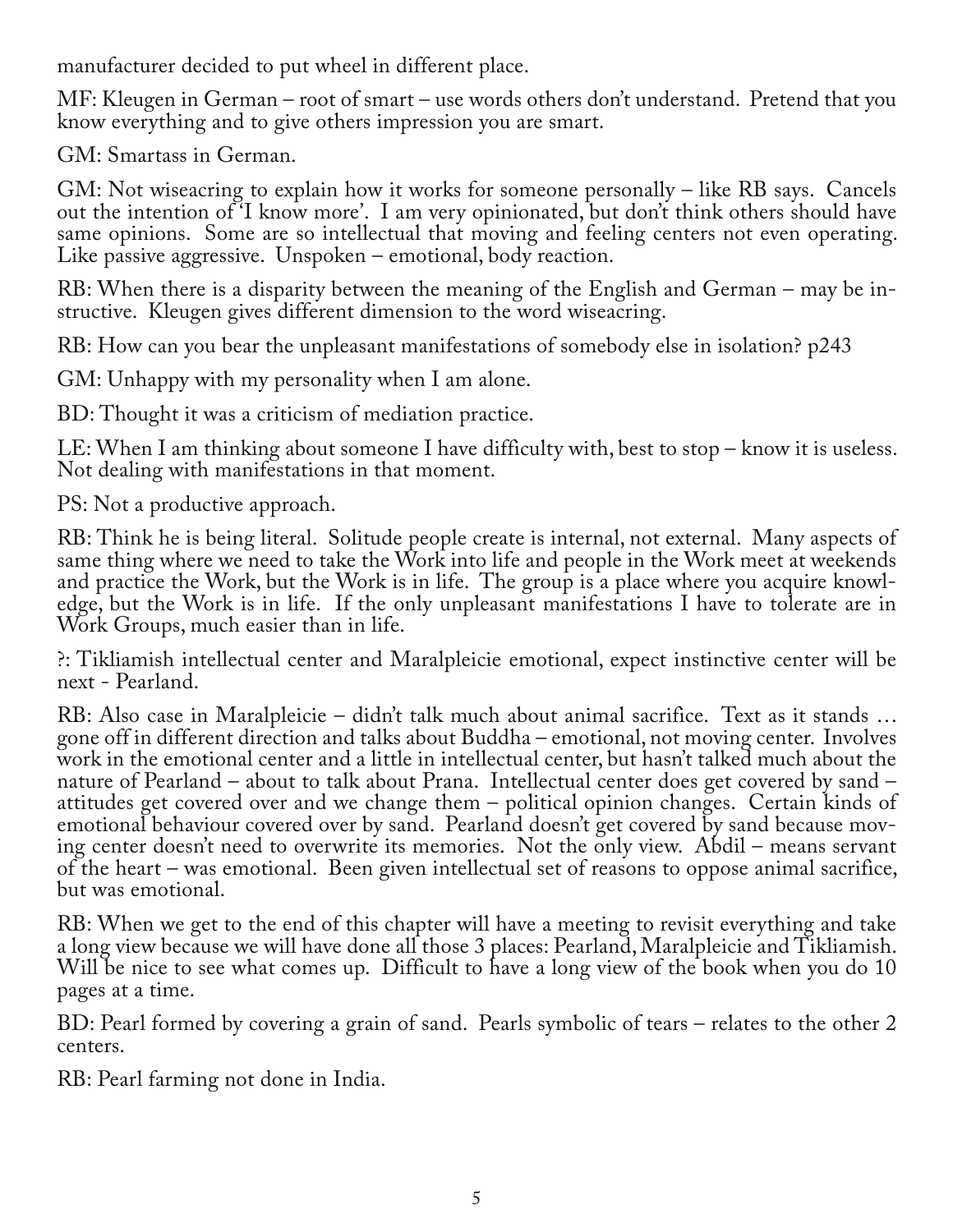manufacturer decided to put wheel in different place.

MF: Kleugen in German – root of smart – use words others don't understand. Pretend that you know everything and to give others impression you are smart.

GM: Smartass in German.

GM: Not wiseacring to explain how it works for someone personally – like RB says. Cancels out the intention of 'I know more'. I am very opinionated, but don't think others should have same opinions. Some are so intellectual that moving and feeling centers not even operating. Like passive aggressive. Unspoken – emotional, body reaction.

RB: When there is a disparity between the meaning of the English and German – may be in‐ structive. Kleugen gives different dimension to the word wiseacring.

RB: How can you bear the unpleasant manifestations of somebody else in isolation? p243

GM: Unhappy with my personality when I am alone.

BD: Thought it was a criticism of mediation practice.

LE: When I am thinking about someone I have difficulty with, best to stop – know it is useless. Not dealing with manifestations in that moment.

PS: Not a productive approach.

RB: Think he is being literal. Solitude people create is internal, not external. Many aspects of same thing where we need to take the Work into life and people in the Work meet at weekends and practice the Work, but the Work is in life. The group is a place where you acquire knowledge, but the Work is in life. If the only unpleasant manifestations I have to tolerate are in Work Groups, much easier than in life.

?: Tikliamish intellectual center and Maralpleicie emotional, expect instinctive center will be next - Pearland.

RB: Also case in Maralpleicie – didn't talk much about animal sacrifice. Text as it stands … gone off in different direction and talks about Buddha – emotional, not moving center. Involves work in the emotional center and a little in intellectual center, but hasn't talked much about the nature of Pearland – about to talk about Prana. Intellectual center does get covered by sand – attitudes get covered over and we change them – political opinion changes. Certain kinds of emotional behaviour covered over by sand. Pearland doesn't get covered by sand because moving center doesn't need to overwrite its memories. Not the only view. Abdil – means servant of the heart – was emotional. Been given intellectual set of reasons to oppose animal sacrifice, but was emotional.

RB: When we get to the end of this chapter will have a meeting to revisit everything and take a long view because we will have done all those 3 places: Pearland, Maralpleicie and Tikliamish. Will be nice to see what comes up. Difficult to have a long view of the book when you do 10 pages at a time.

BD: Pearl formed by covering a grain of sand. Pearls symbolic of tears – relates to the other 2 centers.

RB: Pearl farming not done in India.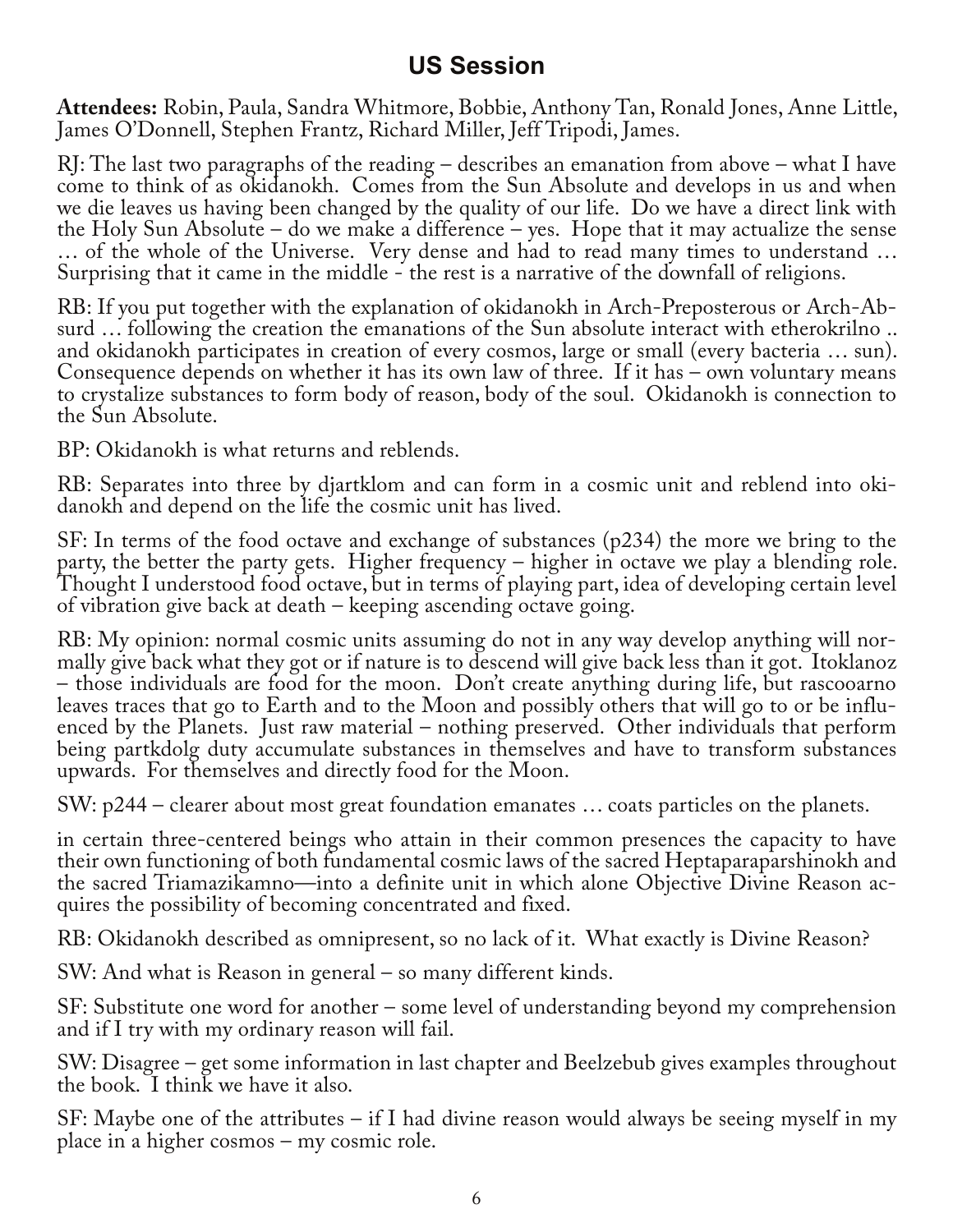## **US Session**

**Attendees:** Robin, Paula, Sandra Whitmore, Bobbie, Anthony Tan, Ronald Jones, Anne Little, James O'Donnell, Stephen Frantz, Richard Miller, Jeff Tripodi, James.

RJ: The last two paragraphs of the reading – describes an emanation from above – what I have come to think of as okidanokh. Comes from the Sun Absolute and develops in us and when we die leaves us having been changed by the quality of our life. Do we have a direct link with the Holy Sun Absolute – do we make a difference – yes. Hope that it may actualize the sense … of the whole of the Universe. Very dense and had to read many times to understand … Surprising that it came in the middle - the rest is a narrative of the downfall of religions.

RB: If you put together with the explanation of okidanokh in Arch-Preposterous or Arch-Absurd … following the creation the emanations of the Sun absolute interact with etherokrilno .. and okidanokh participates in creation of every cosmos, large or small (every bacteria … sun). Consequence depends on whether it has its own law of three. If it has – own voluntary means to crystalize substances to form body of reason, body of the soul. Okidanokh is connection to the Sun Absolute.

BP: Okidanokh is what returns and reblends.

RB: Separates into three by djartklom and can form in a cosmic unit and reblend into oki‐ danokh and depend on the life the cosmic unit has lived.

SF: In terms of the food octave and exchange of substances (p234) the more we bring to the party, the better the party gets. Higher frequency – higher in octave we play a blending role. Thought I understood food octave, but in terms of playing part, idea of developing certain level of vibration give back at death – keeping ascending octave going.

RB: My opinion: normal cosmic units assuming do not in any way develop anything will nor–<br>mally give back what they got or if nature is to descend will give back less than it got. Itoklanoz – those individuals are food for the moon. Don't create anything during life, but rascooarno enced by the Planets. Just raw material – nothing preserved. Other individuals that perform being partkdolg duty accumulate substances in themselves and have to transform substances upwards. For themselves and directly food for the Moon.

SW: p244 – clearer about most great foundation emanates … coats particles on the planets.

in certain three-centered beings who attain in their common presences the capacity to have their own functioning of both fundamental cosmic laws of the sacred Heptaparaparshinokh and the sacred Triamazikamno—into a definite unit in which alone Objective Divine Reason ac‐ quires the possibility of becoming concentrated and fixed.

RB: Okidanokh described as omnipresent, so no lack of it. What exactly is Divine Reason?

SW: And what is Reason in general – so many different kinds.

SF: Substitute one word for another – some level of understanding beyond my comprehension and if I try with my ordinary reason will fail.

SW: Disagree – get some information in last chapter and Beelzebub gives examples throughout the book. I think we have it also.

SF: Maybe one of the attributes – if I had divine reason would always be seeing myself in my place in a higher cosmos – my cosmic role.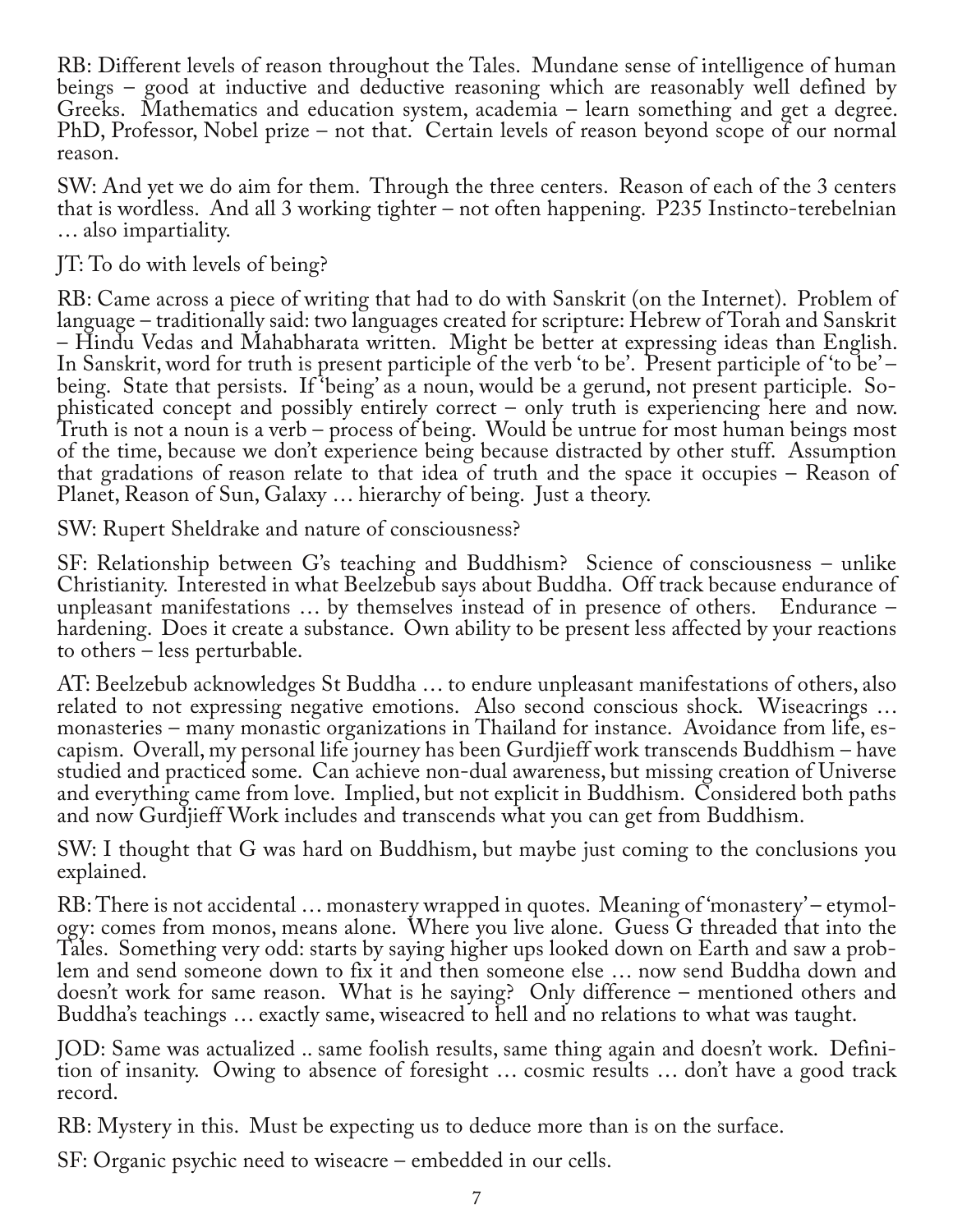RB: Different levels of reason throughout the Tales. Mundane sense of intelligence of human beings – good at inductive and deductive reasoning which are reasonably well defined by Greeks. Mathematics and education system, academia – learn something and get a degree. PhD, Professor, Nobel prize – not that. Certain levels of reason beyond scope of our normal reason.

SW: And yet we do aim for them. Through the three centers. Reason of each of the 3 centers that is wordless. And all 3 working tighter – not often happening. P235 Instincto-terebelnian … also impartiality.

JT: To do with levels of being?

RB: Came across a piece of writing that had to do with Sanskrit (on the Internet). Problem of language – traditionally said: two languages created for scripture: Hebrew of Torah and Sanskrit – Hindu Vedas and Mahabharata written. Might be better at expressing ideas than English. In Sanskrit, word for truth is present participle of the verb 'to be'. Present participle of 'to be' – being. State that persists. If 'being' as a noun, would be a gerund, not present participle. Sophisticated concept and possibly entirely correct – only truth is experiencing here and now. Truth is not a noun is a verb – process of being. Would be untrue for most human beings most of the time, because we don't experience being because distracted by other stuff. Assumption that gradations of reason relate to that idea of truth and the space it occupies – Reason of Planet, Reason of Sun, Galaxy … hierarchy of being. Just a theory.

SW: Rupert Sheldrake and nature of consciousness?

SF: Relationship between G's teaching and Buddhism? Science of consciousness – unlike Christianity. Interested in what Beelzebub says about Buddha. Off track because endurance of unpleasant manifestations … by themselves instead of in presence of others. Endurance – hardening. Does it create a substance. Own ability to be present less affected by your reactions to others – less perturbable.

AT: Beelzebub acknowledges St Buddha … to endure unpleasant manifestations of others, also related to not expressing negative emotions. Also second conscious shock. Wiseacrings … monasteries – many monastic organizations in Thailand for instance. Avoidance from life, es‐ capism. Overall, my personal life journey has been Gurdjieff work transcends Buddhism – have studied and practiced some. Can achieve non-dual awareness, but missing creation of Universe and everything came from love. Implied, but not explicit in Buddhism. Considered both paths and now Gurdjieff Work includes and transcends what you can get from Buddhism.

SW: I thought that G was hard on Buddhism, but maybe just coming to the conclusions you explained.

RB: There is not accidental ... monastery wrapped in quotes. Meaning of 'monastery' – etymology: comes from monos, means alone. Where you live alone. Guess G threaded that into the Tales. Something very odd: starts by saying higher ups looked down on Earth and saw a prob‐ lem and send someone down to fix it and then someone else … now send Buddha down and doesn't work for same reason. What is he saying? Only difference – mentioned others and Buddha's teachings … exactly same, wiseacred to hell and no relations to what was taught.

JOD: Same was actualized .. same foolish results, same thing again and doesn't work. Defini‐ tion of insanity. Owing to absence of foresight … cosmic results … don't have a good track record.

RB: Mystery in this. Must be expecting us to deduce more than is on the surface.

SF: Organic psychic need to wiseacre – embedded in our cells.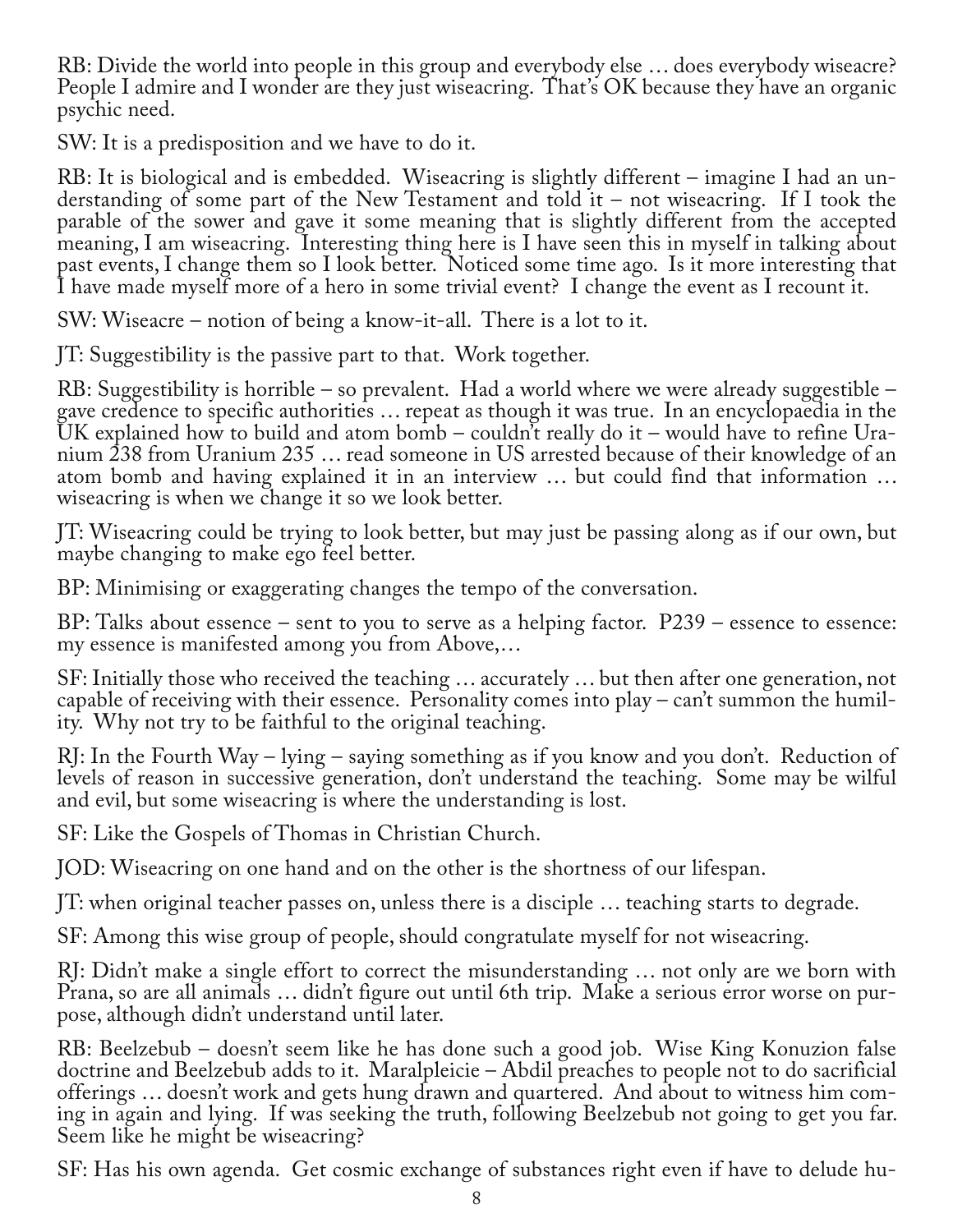RB: Divide the world into people in this group and everybody else … does everybody wiseacre? People I admire and I wonder are they just wiseacring. That's OK because they have an organic psychic need.

SW: It is a predisposition and we have to do it.

RB: It is biological and is embedded. Wiseacring is slightly different – imagine I had an un‐ derstanding of some part of the New Testament and told it – not wiseacring. If I took the parable of the sower and gave it some meaning that is slightly different from the accepted meaning, I am wiseacring. Interesting thing here is I have seen this in myself in talking about past events, I change them so I look better. Noticed some time ago. Is it more interesting that I have made myself more of a hero in some trivial event? I change the event as I recount it.

SW: Wiseacre – notion of being a know-it-all. There is a lot to it.

JT: Suggestibility is the passive part to that. Work together.

RB: Suggestibility is horrible – so prevalent. Had a world where we were already suggestible – gave credence to specific authorities … repeat as though it was true. In an encyclopaedia in the UK explained how to build and atom bomb – couldn't really do it – would have to refine Uranium 238 from Uranium 235 … read someone in US arrested because of their knowledge of an atom bomb and having explained it in an interview … but could find that information … wiseacring is when we change it so we look better.

JT: Wiseacring could be trying to look better, but may just be passing along as if our own, but maybe changing to make ego feel better.

BP: Minimising or exaggerating changes the tempo of the conversation.

BP: Talks about essence – sent to you to serve as a helping factor. P239 – essence to essence: my essence is manifested among you from Above,…

SF: Initially those who received the teaching … accurately … but then after one generation, not capable of receiving with their essence. Personality comes into play – can't summon the humility. Why not try to be faithful to the original teaching.

RJ: In the Fourth Way – lying – saying something as if you know and you don't. Reduction of levels of reason in successive generation, don't understand the teaching. Some may be wilful and evil, but some wiseacring is where the understanding is lost.

SF: Like the Gospels of Thomas in Christian Church.

JOD: Wiseacring on one hand and on the other is the shortness of our lifespan.

JT: when original teacher passes on, unless there is a disciple … teaching starts to degrade.

SF: Among this wise group of people, should congratulate myself for not wiseacring.

RJ: Didn't make a single effort to correct the misunderstanding … not only are we born with Prana, so are all animals … didn't figure out until 6th trip. Make a serious error worse on pur‐ pose, although didn't understand until later.

RB: Beelzebub – doesn't seem like he has done such a good job. Wise King Konuzion false doctrine and Beelzebub adds to it. Maralpleicie – Abdil preaches to people not to do sacrificial ing in again and lying. If was seeking the truth, following Beelzebub not going to get you far. Seem like he might be wiseacring?

SF: Has his own agenda. Get cosmic exchange of substances right even if have to delude hu‐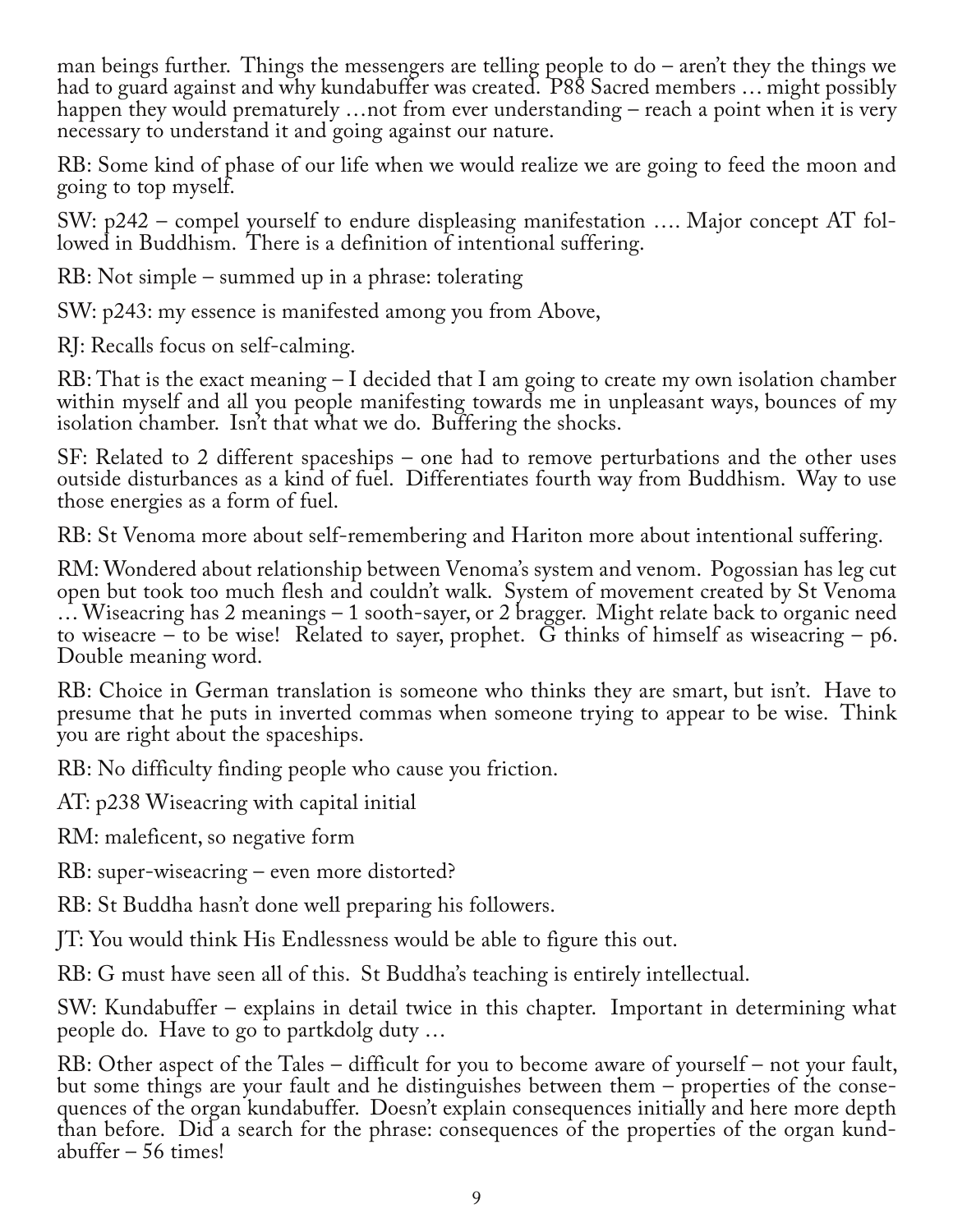man beings further. Things the messengers are telling people to do – aren't they the things we had to guard against and why kundabuffer was created. P88 Sacred members … might possibly happen they would prematurely ... not from ever understanding – reach a point when it is very necessary to understand it and going against our nature.

RB: Some kind of phase of our life when we would realize we are going to feed the moon and going to top myself.

SW: p242 – compel yourself to endure displeasing manifestation …. Major concept AT fol‐ lowed in Buddhism. There is a definition of intentional suffering.

RB: Not simple – summed up in a phrase: tolerating

SW: p243: my essence is manifested among you from Above,

RJ: Recalls focus on self-calming.

RB: That is the exact meaning – I decided that I am going to create my own isolation chamber within myself and all you people manifesting towards me in unpleasant ways, bounces of my isolation chamber. Isn't that what we do. Buffering the shocks.

SF: Related to 2 different spaceships – one had to remove perturbations and the other uses outside disturbances as a kind of fuel. Differentiates fourth way from Buddhism. Way to use those energies as a form of fuel.

RB: St Venoma more about self-remembering and Hariton more about intentional suffering.

RM: Wondered about relationship between Venoma's system and venom. Pogossian has leg cut open but took too much flesh and couldn't walk. System of movement created by St Venoma …Wiseacring has 2 meanings – 1 sooth-sayer, or 2 bragger. Might relate back to organic need to wiseacre – to be wise! Related to sayer, prophet.  $\tilde{G}$  thinks of himself as wiseacring – p6. Double meaning word.

RB: Choice in German translation is someone who thinks they are smart, but isn't. Have to presume that he puts in inverted commas when someone trying to appear to be wise. Think you are right about the spaceships.

RB: No difficulty finding people who cause you friction.

AT: p238 Wiseacring with capital initial

RM: maleficent, so negative form

RB: super-wiseacring – even more distorted?

RB: St Buddha hasn't done well preparing his followers.

JT: You would think His Endlessness would be able to figure this out.

RB: G must have seen all of this. St Buddha's teaching is entirely intellectual.

SW: Kundabuffer – explains in detail twice in this chapter. Important in determining what people do. Have to go to partkdolg duty …

RB: Other aspect of the Tales – difficult for you to become aware of yourself – not your fault, but some things are your fault and he distinguishes between them – properties of the consequences of the organ kundabuffer. Doesn't explain consequences initially and here more depth than before. Did a search for the phrase: consequences of the properties of the organ kund-<br>abuffer – 56 times!